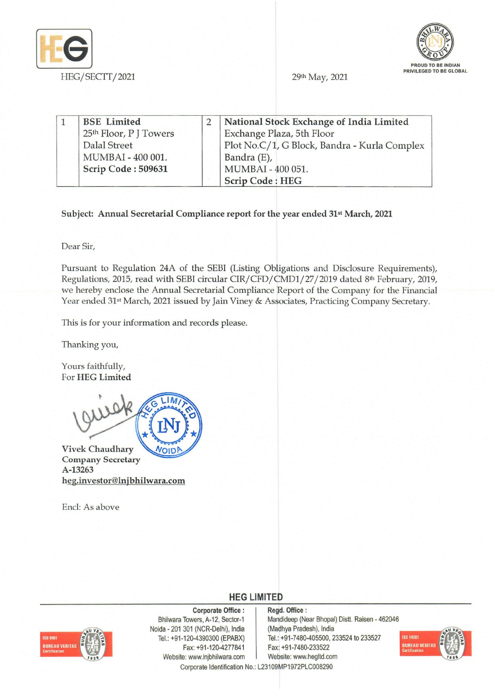



29th May, 2021

|  | <b>BSE</b> Limited     | National Stock Exchange of India Limited     |
|--|------------------------|----------------------------------------------|
|  | 25th Floor, P J Towers | Exchange Plaza, 5th Floor                    |
|  | Dalal Street           | Plot No.C/1, G Block, Bandra - Kurla Complex |
|  | MUMBAI - 400 001.      | Bandra (E),                                  |
|  | Scrip Code: 509631     | MUMBAI - 400 051.                            |
|  |                        | <b>Scrip Code: HEG</b>                       |

## Subject: Annual Secretarial Compliance report for the year ended 31st March, 2021

Dear Sir,

Pursuant to Regulation 24A of the SEBI (Listing Obligations and Disclosure Requirements), Regulations, 2015, read with SEBI circular *CIR/CFD/CMD1/27/2019* dated 8th February, 2019, we hereby enclose the Annual Secretarial Compliance Report of the Company for the Financial Year ended 31<sup>st</sup> March, 2021 issued by Jain Viney & Associates, Practicing Company Secretary.

This is for your information and records please.

Thanking you,

Yours faithfully, For HEG Limited



Vivek Chaudhary VOIDP Company Secretary A-13263 heg.investor@lnjbhilwara.com

Encl: As above

**HEG LIMITED** 



Corporate Office: Bhilwara Towers, A-12, Sector-1 Naida - 201 301 (NCR-Delhi), India Tel.: +91-120-4390300 (EPABX) Fax: +91-120-4277841 Website: www.lnjbhilwara.com | Website: www.hegltd.com

Regd. Office: Mandideep (Near Bhopal) Distt. Raisen - 462046 (Madhya Pradesh), India Tel.: +91-7480-405500, 233524 to 233527 Fax: +91-7480-233522



Corporate Identification No.: L23109MP1972PLC008290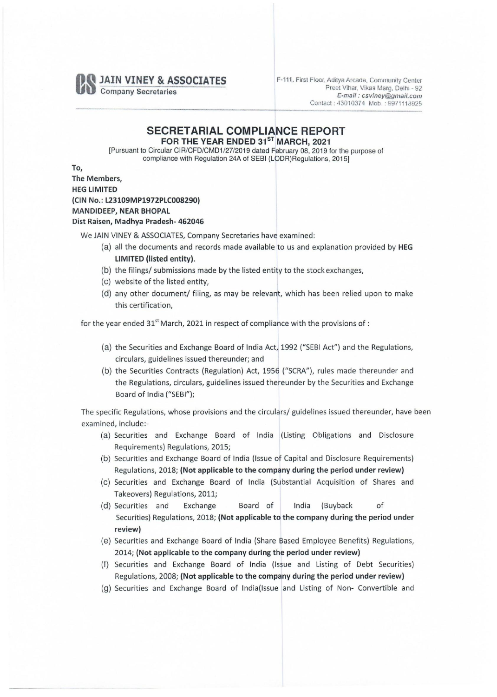**JAIN VINEY & ASSOCIATES** 

Company Secretaries

F-111, First Floor, Aditya Arcade, Community Center Preet Vihar, Vikas Marg, Delhi - 92 *E·mail: csviney@gmail.com*  Contact: 43010374 Mob.: 9971118925

## SECRETARIAL COMPLIANCE REPORT FOR THE YEAR ENDED 31<sup>ST</sup> MARCH, 2021

[Pursuant to Circular *CIR/CFD/CMD1/27/2019* dated February 08, 2019 for the purpose of compliance with Regulation 24A of SEBI (LODR)Regulations, 2015]

To, The Members, HEG LIMITED

(CIN No.: L23109MP1972PLC008290)

## MANDIDEEP, NEAR BHOPAL

## Dist Raisen, Madhya Pradesh- 462046

We JAIN VINEY & ASSOCIATES, Company Secretaries have examined:

- (a) all the documents and records made available to us and explanation provided by HEG LIMITED (listed entity),
- (b) the filings/ submissions made by the listed entity to the stock exchanges,
- (c) website of the listed entity,
- (d) any other document/ filing, as may be relevant, which has been relied upon to make this certification,

for the year ended  $31<sup>st</sup>$  March, 2021 in respect of compliance with the provisions of :

- (a) the Securities and Exchange Board of India Act, 1992 ("SEBI Act") and the Regulations, circulars, guidelines issued thereunder; and
- (b) the Securities Contracts (Regulation) Act, 1956 ("SCRA"), rules made thereunder and the Regulations, circulars, guidelines issued thereunder by the Securities and Exchange Board of India ("SEBI");

The specific Regulations, whose provisions and the circulars/ guidelines issued thereunder, have been examined, include:-

- (a) Securities and Exchange Board of India (Listing Obligations and Disclosure Requirements) Regulations, 2015;
- (b) Securities and Exchange Board of India (Issue of Capital and Disclosure Requirements) Regulations, 2018; (Not applicable to the company during the period under review)
- (c) Securities and Exchange Board of India (Substantial Acquisition of Shares and Takeovers) Regulations, 2011;
- (d) Securities and Exchange Board of India (Buyback of Securities) Regulations, 2018; (Not applicable to the company during the period under review)
- (e) Securities and Exchange Board of India (Share Based Employee Benefits) Regulations, 2014; (Not applicable to the company during the period under review)
- (f) Securities and Exchange Board of India (Issue and Listing of Debt Securities) Regulations, 2008; (Not applicable to the company during the period under review)
- (g) Securities and Exchange Board of India{lssue and Listing of Non- Convertible and